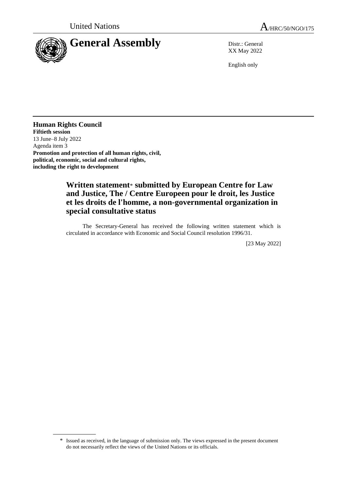



XX May 2022

English only

**Human Rights Council Fiftieth session** 13 June–8 July 2022 Agenda item 3 **Promotion and protection of all human rights, civil, political, economic, social and cultural rights, including the right to development**

## **Written statement**\* **submitted by European Centre for Law and Justice, The / Centre Europeen pour le droit, les Justice et les droits de l'homme, a non-governmental organization in special consultative status**

The Secretary-General has received the following written statement which is circulated in accordance with Economic and Social Council resolution 1996/31.

[23 May 2022]

<sup>\*</sup> Issued as received, in the language of submission only. The views expressed in the present document do not necessarily reflect the views of the United Nations or its officials.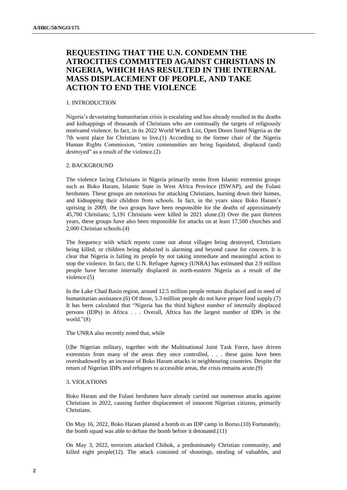# **REQUESTING THAT THE U.N. CONDEMN THE ATROCITIES COMMITTED AGAINST CHRISTIANS IN NIGERIA, WHICH HAS RESULTED IN THE INTERNAL MASS DISPLACEMENT OF PEOPLE, AND TAKE ACTION TO END THE VIOLENCE**

## 1. INTRODUCTION

Nigeria's devastating humanitarian crisis is escalating and has already resulted in the deaths and kidnappings of thousands of Christians who are continually the targets of religiously motivated violence. In fact, in its 2022 World Watch List, Open Doors listed Nigeria as the 7th worst place for Christians to live.(1) According to the former chair of the Nigeria Human Rights Commission, "entire communities are being liquidated, displaced (and) destroyed" as a result of the violence.(2)

## 2. BACKGROUND

The violence facing Christians in Nigeria primarily stems from Islamic extremist groups such as Boko Haram, Islamic State in West Africa Province (ISWAP), and the Fulani herdsmen. These groups are notorious for attacking Christians, burning down their homes, and kidnapping their children from schools. In fact, in the years since Boko Haram's uprising in 2009, the two groups have been responsible for the deaths of approximately 45,700 Christians; 5,191 Christians were killed in 2021 alone.(3) Over the past thirteen years, these groups have also been responsible for attacks on at least 17,500 churches and 2,000 Christian schools.(4)

The frequency with which reports come out about villages being destroyed, Christians being killed, or children being abducted is alarming and beyond cause for concern. It is clear that Nigeria is failing its people by not taking immediate and meaningful action to stop the violence. In fact, the U.N. Refugee Agency (UNRA) has estimated that 2.9 million people have become internally displaced in north-eastern Nigeria as a result of the violence.(5)

In the Lake Chad Basin region, around 12.5 million people remain displaced and in need of humanitarian assistance.(6) Of those, 5.3 million people do not have proper food supply.(7) It has been calculated that "Nigeria has the third highest number of internally displaced persons (IDPs) in Africa . . . Overall, Africa has the largest number of IDPs in the world."(8)

#### The UNRA also recently noted that, while

[t]he Nigerian military, together with the Multinational Joint Task Force, have driven extremists from many of the areas they once controlled, . . . these gains have been overshadowed by an increase of Boko Haram attacks in neighbouring countries. Despite the return of Nigerian IDPs and refugees to accessible areas, the crisis remains acute.(9)

#### 3. VIOLATIONS

Boko Haram and the Fulani herdsmen have already carried out numerous attacks against Christians in 2022, causing further displacement of innocent Nigerian citizens, primarily Christians.

On May 16, 2022, Boko Haram planted a bomb in an IDP camp in Borno.(10) Fortunately, the bomb squad was able to defuse the bomb before it detonated.(11)

On May 3, 2022, terrorists attacked Chibok, a predominately Christian community, and killed eight people $(12)$ . The attack consisted of shootings, stealing of valuables, and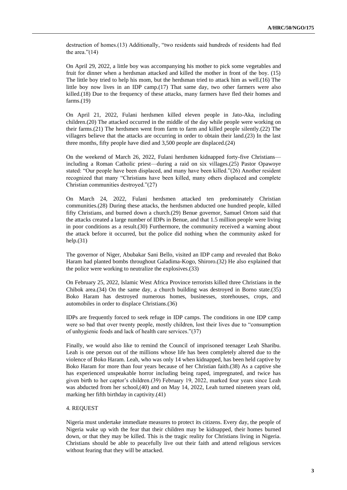destruction of homes.(13) Additionally, "two residents said hundreds of residents had fled the area."(14)

On April 29, 2022, a little boy was accompanying his mother to pick some vegetables and fruit for dinner when a herdsman attacked and killed the mother in front of the boy. (15) The little boy tried to help his mom, but the herdsman tried to attack him as well.(16) The little boy now lives in an IDP camp.(17) That same day, two other farmers were also killed.(18) Due to the frequency of these attacks, many farmers have fled their homes and farms.(19)

On April 21, 2022, Fulani herdsmen killed eleven people in Jato-Aka, including children.(20) The attacked occurred in the middle of the day while people were working on their farms.(21) The herdsmen went from farm to farm and killed people silently.(22) The villagers believe that the attacks are occurring in order to obtain their land.(23) In the last three months, fifty people have died and 3,500 people are displaced.(24)

On the weekend of March 26, 2022, Fulani herdsmen kidnapped forty-five Christians including a Roman Catholic priest—during a raid on six villages.(25) Pastor Opawoye stated: "Our people have been displaced, and many have been killed."(26) Another resident recognized that many "Christians have been killed, many others displaced and complete Christian communities destroyed."(27)

On March 24, 2022, Fulani herdsmen attacked ten predominately Christian communities.(28) During these attacks, the herdsmen abducted one hundred people, killed fifty Christians, and burned down a church.(29) Benue governor, Samuel Ortom said that the attacks created a large number of IDPs in Benue, and that 1.5 million people were living in poor conditions as a result.(30) Furthermore, the community received a warning about the attack before it occurred, but the police did nothing when the community asked for help.(31)

The governor of Niger, Abubakar Sani Bello, visited an IDP camp and revealed that Boko Haram had planted bombs throughout Galadima-Kogo, Shiroro.(32) He also explained that the police were working to neutralize the explosives.(33)

On February 25, 2022, Islamic West Africa Province terrorists killed three Christians in the Chibok area.(34) On the same day, a church building was destroyed in Borno state.(35) Boko Haram has destroyed numerous homes, businesses, storehouses, crops, and automobiles in order to displace Christians.(36)

IDPs are frequently forced to seek refuge in IDP camps. The conditions in one IDP camp were so bad that over twenty people, mostly children, lost their lives due to "consumption of unhygienic foods and lack of health care services."(37)

Finally, we would also like to remind the Council of imprisoned teenager Leah Sharibu. Leah is one person out of the millions whose life has been completely altered due to the violence of Boko Haram. Leah, who was only 14 when kidnapped, has been held captive by Boko Haram for more than four years because of her Christian faith.(38) As a captive she has experienced unspeakable horror including being raped, impregnated, and twice has given birth to her captor's children.(39) February 19, 2022, marked four years since Leah was abducted from her school,(40) and on May 14, 2022, Leah turned nineteen years old, marking her fifth birthday in captivity.(41)

#### 4. REQUEST

Nigeria must undertake immediate measures to protect its citizens. Every day, the people of Nigeria wake up with the fear that their children may be kidnapped, their homes burned down, or that they may be killed. This is the tragic reality for Christians living in Nigeria. Christians should be able to peacefully live out their faith and attend religious services without fearing that they will be attacked.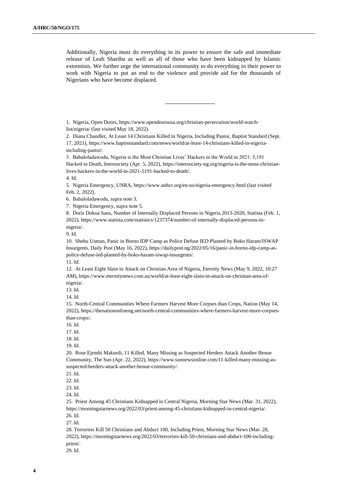Additionally, Nigeria must do everything in its power to ensure the safe and immediate release of Leah Sharibu as well as all of those who have been kidnapped by Islamic extremists. We further urge the international community to do everything in their power to work with Nigeria to put an end to the violence and provide aid for the thousands of Nigerians who have become displaced.

1. Nigeria, Open Doors, https://www.opendoorsusa.org/christian-persecution/world-watchlist/nigeria/ (last visited May 18, 2022).

2. Diana Chandler, At Least 14 Christians Killed in Nigeria, Including Pastor, Baptist Standard (Sept. 17, 2021), https://www.baptiststandard.com/news/world/at-least-14-christians-killed-in-nigeriaincluding-pastor/.

3. Babaloladawodu, Nigeria is the Most Christian Lives' Hackers in the World in 2021: 5,191 Hacked to Death, Intersociety (Apr. 5, 2022), https://intersociety-ng.org/nigeria-is-the-most-christianlives-hackers-in-the-world-in-2021-5191-hacked-to-death/.

4. Id.

5. Nigeria Emergency, UNRA, https://www.unhcr.org/en-us/nigeria-emergency.html (last visited Feb. 2, 2022).

6. Babaloladawodu, supra note 3.

7. Nigeria Emergency, supra note 5.

8. Doris Dokua Sasu, Number of Internally Displaced Persons in Nigeria 2013-2020, Statista (Feb. 1, 2022), https://www.statista.com/statistics/1237374/number-of-internally-displaced-persons-innigeria/.

9. Id.

10. Shehu Usman, Panic in Borno IDP Camp as Police Defuse IED Planted by Boko Haram/ISWAP Insurgents, Daily Post (May 16, 2022), https://dailypost.ng/2022/05/16/panic-in-borno-idp-camp-aspolice-defuse-ied-planted-by-boko-haram-iswap-insurgents/.

11. Id.

12. At Least Eight Slain in Attack on Christian Area of Nigeria, Eternity News (May 9, 2022, 10:27 AM), https://www.eternitynews.com.au/world/at-least-eight-slain-in-attack-on-christian-area-ofnigeria/.

13. Id.

14. Id.

15. North-Central Communities Where Farmers Harvest More Corpses than Crops, Nation (May 14, 2022), https://thenationonlineng.net/north-central-communities-where-farmers-harvest-more-corpsesthan-crops/.

16. Id.

17. Id.

18. Id.

19. Id.

20. Rose Ejembi Makurdi, 11 Killed, Many Missing as Suspected Herders Attack Another Benue Community, The Sun (Apr. 22, 2022), https://www.sunnewsonline.com/11-killed-many-missing-assuspected-herders-attack-another-benue-community/.

21. Id.

22. Id.

23. Id.

24. Id.

25. Priest Among 45 Christians Kidnapped in Central Nigeria, Morning Star News (Mar. 31, 2022), https://morningstarnews.org/2022/03/priest-among-45-christians-kidnapped-in-central-nigeria/. 26. Id.

27. Id.

28. Terrorists Kill 50 Christians and Abduct 100, Including Priest, Morning Star News (Mar. 28, 2022), https://morningstarnews.org/2022/03/terrorists-kill-50-christians-and-abduct-100-includingpriest/.

29. Id.